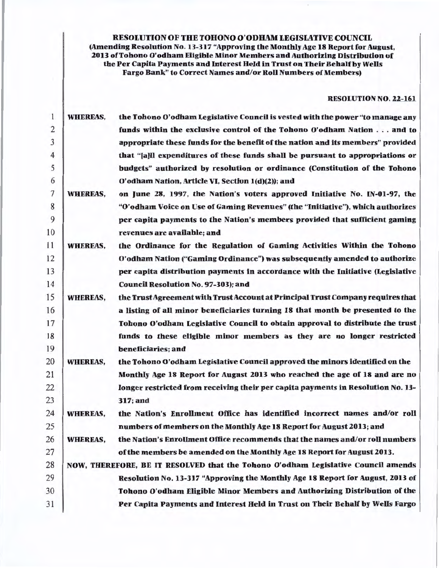RESOLUTION OF THE TOHONO O'ODHAM LEGISLATIVE COUNCIL (Amending Resolution No. 13-317 "Approving the Monthly Age 18 Report for August, 2013 ofTohono O'odham Eligible Minor Members and Authorizing Distribution of the Per Capita Payments and Interest Held in Trust on Their Behalf by Wells Fargo Bank" to Correct Names and/or Roll Numbers of Members)

## RESOLUTION NO. 22-161

| $\mathbf{1}$   | <b>WHEREAS,</b> | the Tohono O'odham Legislative Council is vested with the power "to manage any    |
|----------------|-----------------|-----------------------------------------------------------------------------------|
| 2              |                 | funds within the exclusive control of the Tohono O'odham Nation and to            |
| 3              |                 | appropriate these funds for the benefit of the nation and its members" provided   |
| $\overline{4}$ |                 | that "[a]ll expenditures of these funds shall be pursuant to appropriations or    |
| 5              |                 | budgets" authorized by resolution or ordinance (Constitution of the Tohono        |
| 6              |                 | O'odham Nation, Article VI, Section 1(d)(2)); and                                 |
| 7              | <b>WHEREAS,</b> | on June 28, 1997, the Nation's voters approved Initiative No. IN-01-97, the       |
| 8              |                 | "O'odham Voice on Use of Gaming Revenues" (the "Initiative"), which authorizes    |
| 9              |                 | per capita payments to the Nation's members provided that sufficient gaming       |
| 10             |                 | revenues are available; and                                                       |
| 11             | <b>WHEREAS,</b> | the Ordinance for the Regulation of Gaming Activities Within the Tohono           |
| 12             |                 | O'odham Nation ("Gaming Ordinance") was subsequently amended to authorize         |
| 13             |                 | per capita distribution payments in accordance with the Initiative (Legislative   |
| 14             |                 | <b>Council Resolution No. 97-303); and</b>                                        |
| 15             | <b>WHEREAS.</b> | the Trust Agreement with Trust Account at Principal Trust Company requires that   |
| 16             |                 | a listing of all minor beneficiaries turning 18 that month be presented to the    |
| 17             |                 | Tohono O'odham Legislative Council to obtain approval to distribute the trust     |
| 18             |                 | funds to these eligible minor members as they are no longer restricted            |
| 19             |                 | beneficiaries; and                                                                |
| 20             | <b>WHEREAS,</b> | the Tohono O'odham Legislative Council approved the minors identified on the      |
| 21             |                 | Monthly Age 18 Report for August 2013 who reached the age of 18 and are no        |
| 22             |                 | longer restricted from receiving their per capita payments in Resolution No. 13-  |
| 23             |                 | 317; and                                                                          |
| 24             | <b>WHEREAS,</b> | the Nation's Enrollment Office has identified incorrect names and/or roll         |
| 25             |                 | numbers of members on the Monthly Age 18 Report for August 2013; and              |
| 26             | <b>WHEREAS,</b> | the Nation's Enrollment Office recommends that the names and/or roll numbers      |
| 27             |                 | of the members be amended on the Monthly Age 18 Report for August 2013.           |
| 28             |                 | NOW, THEREFORE, BE IT RESOLVED that the Tohono O'odham Legislative Council amends |
| 29             |                 | Resolution No. 13-317 "Approving the Monthly Age 18 Report for August, 2013 of    |
| 30             |                 | Tohono O'odham Eligible Minor Members and Authorizing Distribution of the         |
| 31             |                 | Per Capita Payments and Interest Held in Trust on Their Behalf by Wells Fargo     |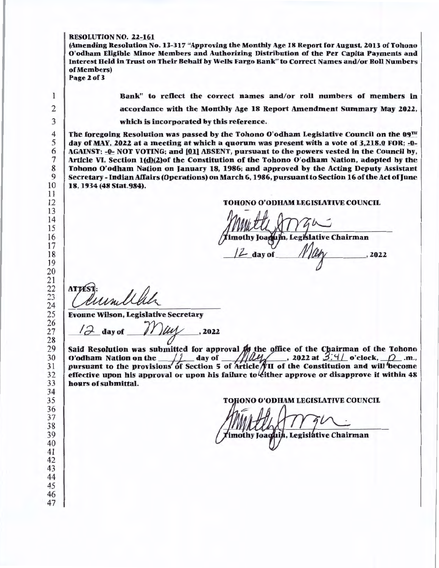## RESOLUTION NO. 22-161

(Amending Resolution No. 13-317 "Approving the Monthly Age 18 Report for August, 2013 of Tohono O'odham Eligible Minor Members and Authorizing Distribution of the Per Capita Payments and Interest Held in Trust on Their Behalf by Wells Fargo Bank" to Correct Names and/or Roll Numbers of Members) Page 2 of 3

 $\mathbf{1}$ 

Bank" to reflect the correct names and/or roll numbers of members in accordance with the Monthly Age 18 Report Amendment Summary May 2022. which is incorporated by this reference.

The foregoing Resolution was passed by the Tohono O'odham Legislative Council on the  $09^{TH}$ day of MAY, 2022 at a meeting at which a quorum was present with a vote of 3,218.0 FOR; -0-AGAINST; -0-: NOT VOTING; and [01] ABSENT, pursuant to the powers vested in the Council by, Article VI, Section 1(d)(2)of the Constitution of the Tohono O'odham Nation, adopted by the Tohono O'odham Nation on January 18, 1986; and approved by the Acting Deputy Assistant Secretary - Indian Affairs (Operations) on March 6, 1986, pursuant to Section 16 of the Act of June 18, 1934 (48 Stat.984).

## TOHONO O'ODHAM LEGISIATIVE COUNCIL

nothy Joaqum, Legislative Chairman<br>/2 day of \_\_\_*\_\_\_\_\_\_\_\_\_\_\_\_\_\_\_\_\_\_\_\_\_\_\_\_\_\_\_\_*, 2022

**ATTI** 

Evonne Wilson, Legislative Secretary

*MOUVEL COLL*<br>Dinne Wilson, Legislative Secretary<br>12 day of *Muly*, 2022

Said Resolution was submitted for approval  $f_{\mathcal{H}}$  the office of the Chairman of the Tohono O'odham Nation on the  $\frac{1}{2}$  day of  $\frac{1}{2}$   $\frac{1}{2}$  , 2022 at 3.4 o'clock,  $\frac{1}{2}$  .m., pursuant to the provisions of Section 5 of Article VII of the Constitution and will become effective upon his approval or upon his failure to either approve or disapprove it within 48 hours of submittal.

**TOHONO O'ODHAM LEGISLATIVE COUNCIL** 

mothy Joachin, Legislative Chairman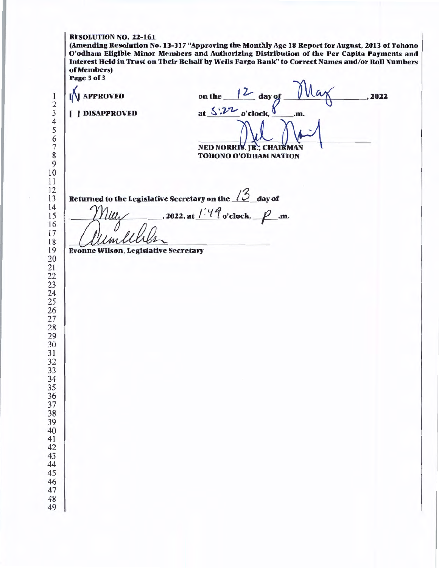(Amending Resolution No. 13-317 "Approving the Monthly Age 18 Report for August, 2013 of Tohono O'odham Eligible Minor Members and Authorizing Distribution of the Per Capita Payments and Interest Held in Trust on Their Behalf by Wells Fargo Bank" to Correct Names and/or Roll Numbers of Members) Page3of3

on the day of  $100\sqrt{2}$ **N** APPROVED , 2022 ~ NATION at  $\frac{\zeta' \cdot 2\tau}{\sigma' \text{clock}}$  .m. ( ] DISAPPROVED NED NO TOHONO O'ODHAM Returned to the Legislative Secretary on the / *3* day of  $\ell$ , 2022, at  $\ell^{1.4}$  o'clock,  $\ell^{2.5}$ .m. melleren Evonne Wilson, Legislative Secretary